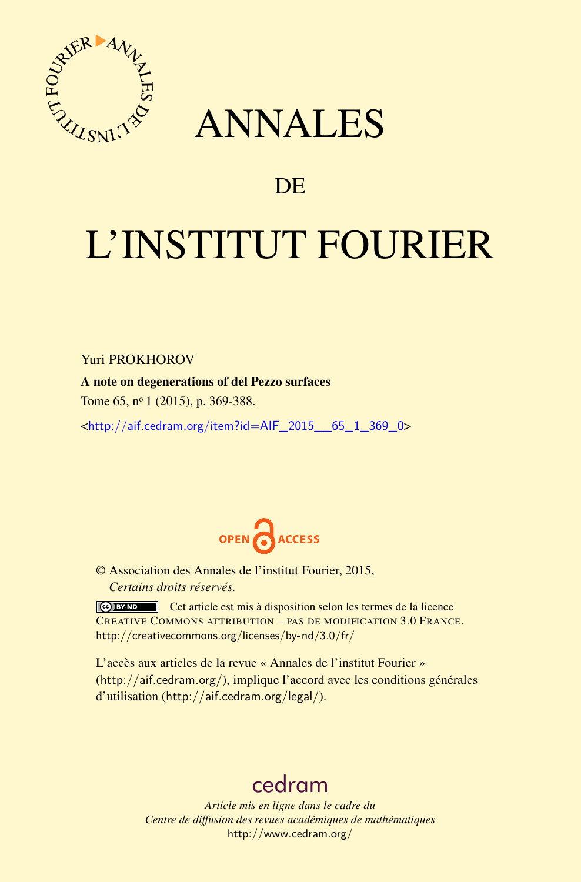

## ANNALES

### **DE**

# L'INSTITUT FOURIER

Yuri PROKHOROV

#### A note on degenerations of del Pezzo surfaces

Tome 65, nº 1 (2015), p. 369-388.

<[http://aif.cedram.org/item?id=AIF\\_2015\\_\\_65\\_1\\_369\\_0](http://aif.cedram.org/item?id=AIF_2015__65_1_369_0)>



© Association des Annales de l'institut Fourier, 2015, *Certains droits réservés.*

Cet article est mis à disposition selon les termes de la licence CREATIVE COMMONS ATTRIBUTION – PAS DE MODIFICATION 3.0 FRANCE. <http://creativecommons.org/licenses/by-nd/3.0/fr/>

L'accès aux articles de la revue « Annales de l'institut Fourier » (<http://aif.cedram.org/>), implique l'accord avec les conditions générales d'utilisation (<http://aif.cedram.org/legal/>).

## [cedram](http://www.cedram.org/)

*Article mis en ligne dans le cadre du Centre de diffusion des revues académiques de mathématiques* <http://www.cedram.org/>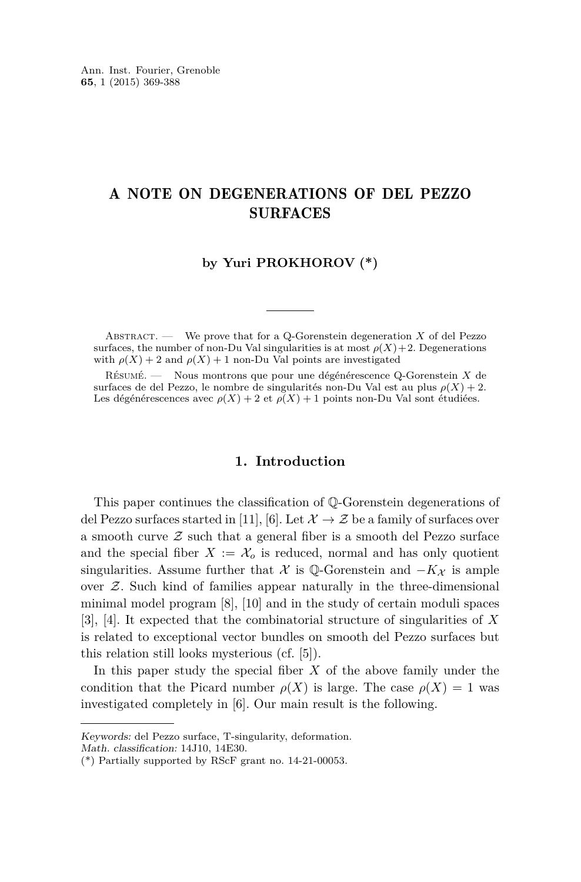#### A NOTE ON DEGENERATIONS OF DEL PEZZO SURFACES

#### **by Yuri PROKHOROV (\*)**

ABSTRACT. — We prove that for a Q-Gorenstein degeneration *X* of del Pezzo surfaces, the number of non-Du Val singularities is at most  $\rho(X)$ +2. Degenerations with  $\rho(X) + 2$  and  $\rho(X) + 1$  non-Du Val points are investigated

Résumé. — Nous montrons que pour une dégénérescence Q-Gorenstein *X* de surfaces de del Pezzo, le nombre de singularités non-Du Val est au plus *ρ*(*X*) + 2. Les dégénérescences avec  $\rho(X) + 2$  et  $\rho(X) + 1$  points non-Du Val sont étudiées.

#### **1. Introduction**

This paper continues the classification of Q-Gorenstein degenerations of del Pezzo surfaces started in [\[11\]](#page-19-0), [\[6\]](#page-19-0). Let  $\mathcal{X} \to \mathcal{Z}$  be a family of surfaces over a smooth curve  $\mathcal Z$  such that a general fiber is a smooth del Pezzo surface and the special fiber  $X := \mathcal{X}_o$  is reduced, normal and has only quotient singularities. Assume further that X is Q-Gorenstein and  $-K_X$  is ample over  $Z$ . Such kind of families appear naturally in the three-dimensional minimal model program [\[8\]](#page-19-0), [\[10\]](#page-19-0) and in the study of certain moduli spaces [\[3\]](#page-19-0), [\[4\]](#page-19-0). It expected that the combinatorial structure of singularities of *X* is related to exceptional vector bundles on smooth del Pezzo surfaces but this relation still looks mysterious (cf. [\[5\]](#page-19-0)).

In this paper study the special fiber *X* of the above family under the condition that the Picard number  $\rho(X)$  is large. The case  $\rho(X) = 1$  was investigated completely in [\[6\]](#page-19-0). Our main result is the following.

Keywords: del Pezzo surface, T-singularity, deformation.

Math. classification: 14J10, 14E30.

<sup>(\*)</sup> Partially supported by RScF grant no. 14-21-00053.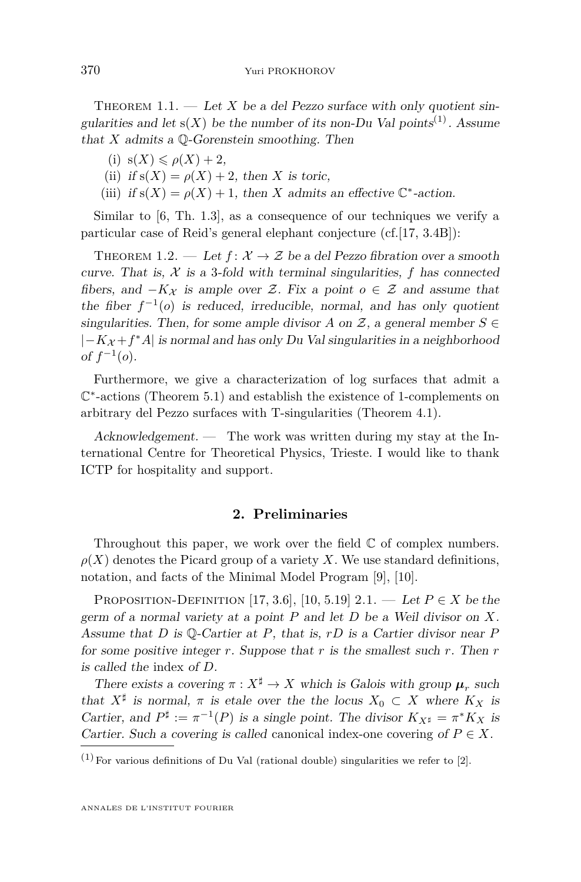<span id="page-2-0"></span>THEOREM 1.1. — Let X be a del Pezzo surface with only quotient singularities and let  $s(X)$  be the number of its non-Du Val points<sup>(1)</sup>. Assume that *X* admits a Q-Gorenstein smoothing. Then

- (i)  $s(X) \le \rho(X) + 2$ ,
- (ii) if  $s(X) = \rho(X) + 2$ , then *X* is toric,
- (iii) if  $s(X) = \rho(X) + 1$ , then *X* admits an effective  $\mathbb{C}^*$ -action.

Similar to [\[6,](#page-19-0) Th. 1.3], as a consequence of our techniques we verify a particular case of Reid's general elephant conjecture (cf.[\[17,](#page-19-0) 3.4B]):

THEOREM 1.2. — Let  $f: \mathcal{X} \to \mathcal{Z}$  be a del Pezzo fibration over a smooth curve. That is,  $\mathcal X$  is a 3-fold with terminal singularities,  $f$  has connected fibers, and  $-K_{\mathcal{X}}$  is ample over Z. Fix a point  $o \in \mathcal{Z}$  and assume that the fiber  $f^{-1}(o)$  is reduced, irreducible, normal, and has only quotient singularities. Then, for some ample divisor *A* on  $\mathcal{Z}$ , a general member  $S \in$ |−*K*<sup>X</sup> +*f* <sup>∗</sup>*A*| is normal and has only Du Val singularities in a neighborhood  $of f<sup>-1</sup>(o)$ .

Furthermore, we give a characterization of log surfaces that admit a C ∗ -actions (Theorem [5.1\)](#page-12-0) and establish the existence of 1-complements on arbitrary del Pezzo surfaces with T-singularities (Theorem [4.1\)](#page-9-0).

Acknowledgement. — The work was written during my stay at the International Centre for Theoretical Physics, Trieste. I would like to thank ICTP for hospitality and support.

#### **2. Preliminaries**

Throughout this paper, we work over the field  $\mathbb C$  of complex numbers.  $\rho(X)$  denotes the Picard group of a variety X. We use standard definitions, notation, and facts of the Minimal Model Program [\[9\]](#page-19-0), [\[10\]](#page-19-0).

PROPOSITION-DEFINITION [\[17,](#page-19-0) 3.6], [\[10,](#page-19-0) 5.19] 2.1. — Let  $P \in X$  be the germ of a normal variety at a point *P* and let *D* be a Weil divisor on *X*. Assume that *D* is Q-Cartier at *P*, that is, *rD* is a Cartier divisor near *P* for some positive integer *r*. Suppose that *r* is the smallest such *r*. Then *r* is called the index of *D*.

There exists a covering  $\pi : X^{\sharp} \to X$  which is Galois with group  $\mu_r$  such that  $X^{\sharp}$  is normal,  $\pi$  is etale over the the locus  $X_0 \subset X$  where  $K_X$  is Cartier, and  $P^{\sharp} := \pi^{-1}(P)$  is a single point. The divisor  $K_{X^{\sharp}} = \pi^* K_X$  is Cartier. Such a covering is called canonical index-one covering of  $P \in X$ .

 $(1)$  For various definitions of Du Val (rational double) singularities we refer to [\[2\]](#page-19-0).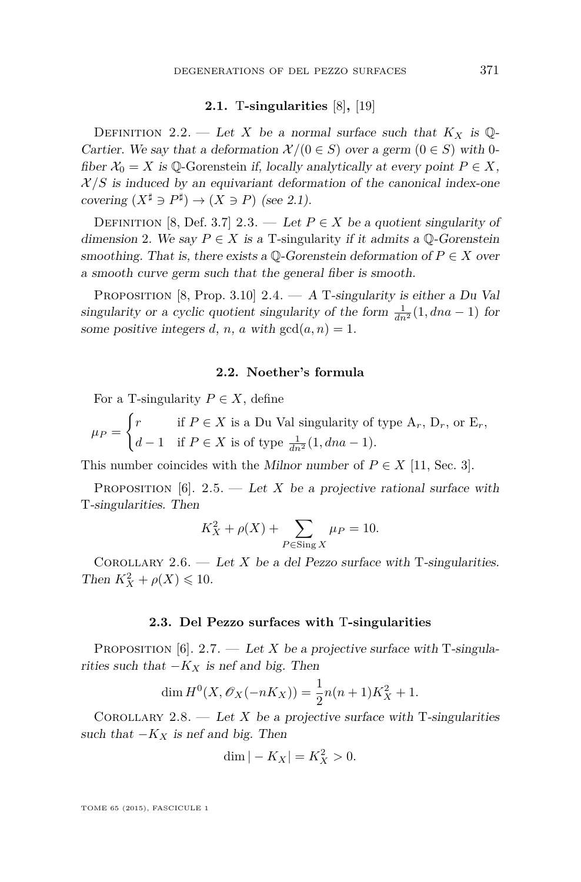#### **2.1.** T**-singularities** [\[8\]](#page-19-0)**,** [\[19\]](#page-20-0)

<span id="page-3-0"></span>DEFINITION 2.2. — Let *X* be a normal surface such that  $K_X$  is  $\mathbb{Q}$ -Cartier. We say that a deformation  $\mathcal{X}/(0 \in S)$  over a germ  $(0 \in S)$  with 0fiber  $\mathcal{X}_0 = X$  is  $\mathbb{Q}$ -Gorenstein if, locally analytically at every point  $P \in X$ ,  $X/S$  is induced by an equivariant deformation of the canonical index-one covering  $(X^{\sharp} \ni P^{\sharp}) \to (X \ni P)$  (see [2.1\)](#page-2-0).

DEFINITION [\[8,](#page-19-0) Def. 3.7] 2.3. — Let  $P \in X$  be a quotient singularity of dimension 2. We say  $P \in X$  is a T-singularity if it admits a  $\mathbb{Q}$ -Gorenstein smoothing. That is, there exists a  $\mathbb{Q}$ -Gorenstein deformation of  $P \in X$  over a smooth curve germ such that the general fiber is smooth.

PROPOSITION [\[8,](#page-19-0) Prop. 3.10]  $2.4. - A$  T-singularity is either a Du Val singularity or a cyclic quotient singularity of the form  $\frac{1}{dn^2}(1, dna - 1)$  for some positive integers *d*, *n*, *a* with  $gcd(a, n) = 1$ .

#### **2.2. Noether's formula**

For a T-singularity  $P \in X$ , define

$$
\mu_P = \begin{cases} r & \text{if } P \in X \text{ is a Du Val singularity of type } A_r, D_r, \text{ or } E_r, \\ d-1 & \text{if } P \in X \text{ is of type } \frac{1}{dn^2}(1, dna-1). \end{cases}
$$

This number coincides with the Milnor number of  $P \in X$  [\[11,](#page-19-0) Sec. 3].

PROPOSITION [\[6\]](#page-19-0). 2.5. — Let *X* be a projective rational surface with T-singularities. Then

$$
K_X^2 + \rho(X) + \sum_{P \in \text{Sing } X} \mu_P = 10.
$$

COROLLARY 2.6. — Let *X* be a del Pezzo surface with T-singularities. Then  $K_X^2 + \rho(X) \leq 10$ .

#### **2.3. Del Pezzo surfaces with** T**-singularities**

PROPOSITION  $[6]$ . 2.7. — Let X be a projective surface with T-singularities such that  $-K_X$  is nef and big. Then

$$
\dim H^0(X, \mathscr{O}_X(-nK_X)) = \frac{1}{2}n(n+1)K_X^2 + 1.
$$

COROLLARY 2.8. — Let *X* be a projective surface with T-singularities such that  $-K_X$  is nef and big. Then

$$
\dim|-K_X|=K_X^2>0.
$$

TOME 65 (2015), FASCICULE 1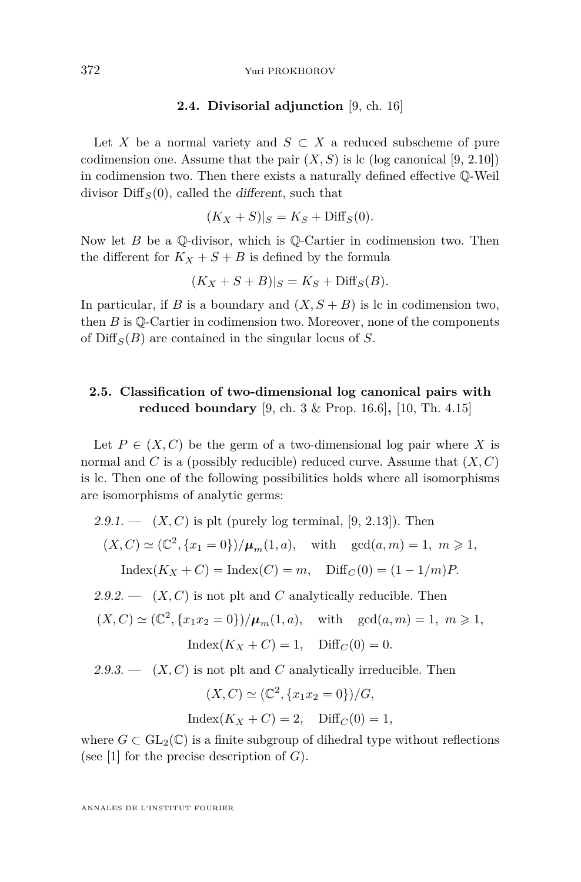#### <span id="page-4-0"></span>372 Yuri PROKHOROV

#### **2.4. Divisorial adjunction** [\[9,](#page-19-0) ch. 16]

Let *X* be a normal variety and  $S \subset X$  a reduced subscheme of pure codimension one. Assume that the pair  $(X, S)$  is lc (log canonical [\[9,](#page-19-0) 2.10]) in codimension two. Then there exists a naturally defined effective Q-Weil divisor  $\text{Diff}_S(0)$ , called the different, such that

$$
(K_X + S)|_S = K_S + \text{Diff}_S(0).
$$

Now let  $B$  be a  $\mathbb Q$ -divisor, which is  $\mathbb Q$ -Cartier in codimension two. Then the different for  $K_X + S + B$  is defined by the formula

$$
(K_X + S + B)|_S = K_S + \text{Diff}_S(B).
$$

In particular, if *B* is a boundary and  $(X, S + B)$  is lc in codimension two, then *B* is Q-Cartier in codimension two. Moreover, none of the components of  $\text{Diff}_S(B)$  are contained in the singular locus of *S*.

#### **2.5. Classification of two-dimensional log canonical pairs with reduced boundary** [\[9,](#page-19-0) ch. 3 & Prop. 16.6]**,** [\[10,](#page-19-0) Th. 4.15]

Let  $P \in (X, C)$  be the germ of a two-dimensional log pair where X is normal and *C* is a (possibly reducible) reduced curve. Assume that  $(X, C)$ is lc. Then one of the following possibilities holds where all isomorphisms are isomorphisms of analytic germs:

2.9.1. — 
$$
(X, C)
$$
 is plt (purely log terminal, [9, 2.13]). Then  
\n $(X, C) \simeq (\mathbb{C}^2, \{x_1 = 0\})/\mu_m(1, a),$  with  $gcd(a, m) = 1, m \ge 1,$   
\n $Index(K_X + C) = Index(C) = m,$  Diff<sub>C</sub>(0) =  $(1 - 1/m)P.$ 

2.9.2.  $\qquad (X, C)$  is not plt and *C* analytically reducible. Then

$$
(X, C) \simeq (\mathbb{C}^2, \{x_1x_2 = 0\})/\mu_m(1, a), \text{ with } \gcd(a, m) = 1, m \ge 1,
$$

$$
Index(K_X + C) = 1
$$
,  $Diff_C(0) = 0$ .

2.9.3.  $(X, C)$  is not plt and *C* analytically irreducible. Then

$$
(X, C) \simeq (\mathbb{C}^2, \{x_1x_2 = 0\})/G,
$$

$$
Index(K_X + C) = 2, \quad Diff_C(0) = 1,
$$

where  $G \subset GL_2(\mathbb{C})$  is a finite subgroup of dihedral type without reflections (see [\[1\]](#page-19-0) for the precise description of *G*).

ANNALES DE L'INSTITUT FOURIER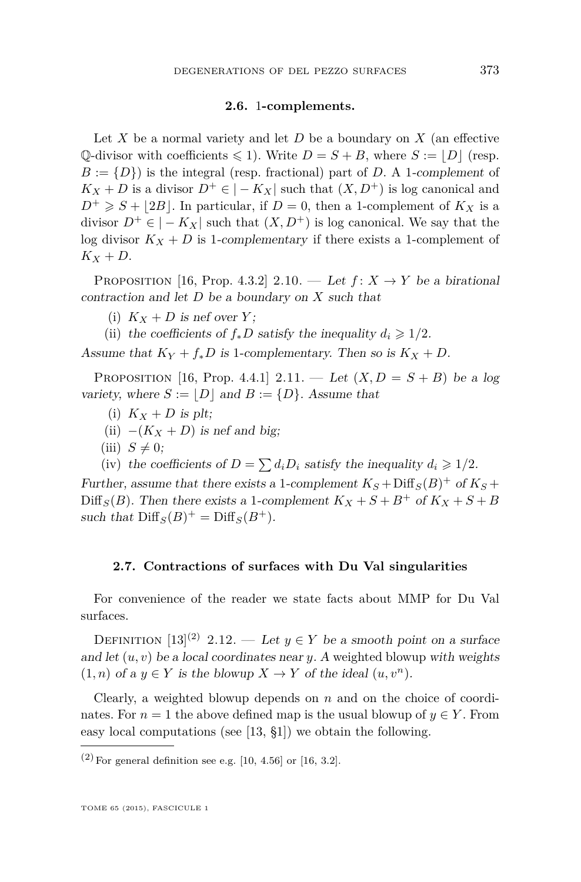#### **2.6.** 1**-complements.**

<span id="page-5-0"></span>Let  $X$  be a normal variety and let  $D$  be a boundary on  $X$  (an effective Q-divisor with coefficients  $\leq 1$ ). Write  $D = S + B$ , where  $S := |D|$  (resp.  $B := \{D\}$  is the integral (resp. fractional) part of *D*. A 1-complement of  $K_X + D$  is a divisor  $D^+ \in |-K_X|$  such that  $(X, D^+)$  is log canonical and  $D^+ \geq S + |2B|$ . In particular, if  $D = 0$ , then a 1-complement of  $K_X$  is a divisor  $D^+ \in |-K_X|$  such that  $(X, D^+)$  is log canonical. We say that the log divisor  $K_X + D$  is 1-complementary if there exists a 1-complement of  $K_X + D$ .

PROPOSITION [\[16,](#page-19-0) Prop. 4.3.2] 2.10. — Let  $f: X \rightarrow Y$  be a birational contraction and let *D* be a boundary on *X* such that

- (i)  $K_X + D$  is nef over *Y*;
- (ii) the coefficients of  $f_*D$  satisfy the inequality  $d_i \geq 1/2$ .

Assume that  $K_Y + f_*D$  is 1-complementary. Then so is  $K_X + D$ .

PROPOSITION [\[16,](#page-19-0) Prop. 4.4.1] 2.11. — Let  $(X, D = S + B)$  be a log variety, where  $S := |D|$  and  $B := \{D\}$ . Assume that

- (i)  $K_X + D$  is plt;
- (ii)  $-(K_X + D)$  is nef and big;
- $(iii)$   $S \neq 0;$
- (iv) the coefficients of  $D = \sum d_i D_i$  satisfy the inequality  $d_i \geq 1/2$ .

Further, assume that there exists a 1-complement  $K_S + \text{Diff}_S(B)^+$  of  $K_S +$  $Diff_S(B)$ . Then there exists a 1-complement  $K_X + S + B^+$  of  $K_X + S + B$ such that  $\text{Diff}_S(B)^+ = \text{Diff}_S(B^+).$ 

#### **2.7. Contractions of surfaces with Du Val singularities**

For convenience of the reader we state facts about MMP for Du Val surfaces.

DEFINITION  $[13]^{(2)}$  $[13]^{(2)}$  2.12. — Let  $y \in Y$  be a smooth point on a surface and let  $(u, v)$  be a local coordinates near *y*. A weighted blowup with weights  $(1, n)$  of a  $y \in Y$  is the blowup  $X \to Y$  of the ideal  $(u, v^n)$ .

Clearly, a weighted blowup depends on *n* and on the choice of coordinates. For  $n = 1$  the above defined map is the usual blowup of  $y \in Y$ . From easy local computations (see [\[13,](#page-19-0) §1]) we obtain the following.

 $(2)$  For general definition see e.g. [\[10,](#page-19-0) 4.56] or [\[16,](#page-19-0) 3.2].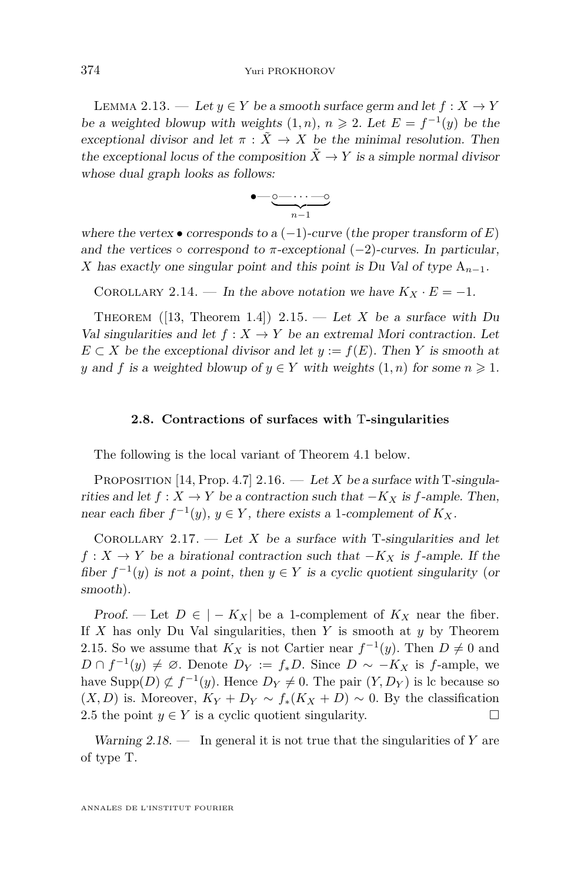<span id="page-6-0"></span>LEMMA 2.13. — Let  $y \in Y$  be a smooth surface germ and let  $f : X \to Y$ be a weighted blowup with weights  $(1, n)$ ,  $n \ge 2$ . Let  $E = f^{-1}(y)$  be the exceptional divisor and let  $\pi$  :  $\tilde{X} \to X$  be the minimal resolution. Then the exceptional locus of the composition  $\tilde{X} \to Y$  is a simple normal divisor whose dual graph looks as follows:

$$
\bullet \underbrace{\hspace{1cm} \bullet \hspace{1cm} \hspace{1cm} \cdots \hspace{1cm} \hspace{1cm} \hspace{1cm} \hspace{1cm} \hspace{1cm} \hspace{1cm} \hspace{1cm} \hspace{1cm} \hspace{1cm} \hspace{1cm} \hspace{1cm} \hspace{1cm} \hspace{1cm} \hspace{1cm} \hspace{1cm} \hspace{1cm} \hspace{1cm} \hspace{1cm} \hspace{1cm} \hspace{1cm} \hspace{1cm} \hspace{1cm} \hspace{1cm} \hspace{1cm} \hspace{1cm} \hspace{1cm} \hspace{1cm} \hspace{1cm} \hspace{1cm} \hspace{1cm} \hspace{1cm} \hspace{1cm} \hspace{1cm} \hspace{1cm} \hspace{1cm} \hspace{1cm} \hspace{1cm} \hspace{1cm} \hspace{1cm} \hspace{1cm} \hspace{1cm} \hspace{1cm} \hspace{1cm} \hspace{1cm} \hspace{1cm} \hspace{1cm} \hspace{1cm} \hspace{1cm} \hspace{1cm} \hspace{1cm} \hspace{1cm} \hspace{1cm} \hspace{1cm} \hspace{1cm} \hspace{1cm} \hspace{1cm} \hspace{1cm} \hspace{1cm} \hspace{1cm} \hspace{1cm} \hspace{1cm} \hspace{1cm} \hspace{1cm} \hspace{1cm} \hspace{1cm} \hspace{1cm} \hspace{1cm} \hspace{1cm} \hspace{1cm} \hspace{1cm} \hspace{1cm} \hspace{1cm} \hspace{1cm} \hspace{1cm} \hspace{1cm} \hspace{1cm} \hspace{1cm} \hspace{1cm} \hspace{1cm} \hspace{1cm} \hspace{1cm} \hspace{1cm} \hspace{1cm} \hspace{1cm} \hspace{1cm} \hspace{1cm} \hspace{1cm} \hspace{1cm} \hspace{1cm} \hspace{1cm} \hspace{1cm} \hspace{1cm} \hspace{1cm} \hspace{1cm} \hspace{1cm} \hspace{1cm} \hspace{1cm} \hspace{1cm} \hspace{1cm} \hspace{1cm} \hspace{1cm} \hspace{1cm} \hspace{1cm} \hspace{1cm} \
$$

where the vertex  $\bullet$  corresponds to a  $(-1)$ -curve (the proper transform of *E*) and the vertices  $\circ$  correspond to  $\pi$ -exceptional (-2)-curves. In particular, *X* has exactly one singular point and this point is Du Val of type  $A_{n-1}$ .

COROLLARY 2.14. — In the above notation we have  $K_X \cdot E = -1$ .

THEOREM  $([13,$  $([13,$  Theorem 1.4<sup> $])$ </sup> 2.15. — Let *X* be a surface with Du Val singularities and let  $f: X \to Y$  be an extremal Mori contraction. Let  $E \subset X$  be the exceptional divisor and let  $y := f(E)$ . Then *Y* is smooth at *y* and *f* is a weighted blowup of  $y \in Y$  with weights  $(1, n)$  for some  $n \geq 1$ .

#### **2.8. Contractions of surfaces with** T**-singularities**

The following is the local variant of Theorem [4.1](#page-9-0) below.

PROPOSITION [\[14,](#page-19-0) Prop. 4.7]  $2.16.$  - Let *X* be a surface with T-singularities and let  $f : X \to Y$  be a contraction such that  $-K_X$  is  $f$ -ample. Then, near each fiber  $f^{-1}(y)$ ,  $y \in Y$ , there exists a 1-complement of  $K_X$ .

COROLLARY 2.17. — Let *X* be a surface with T-singularities and let *f* : *X* → *Y* be a birational contraction such that  $-K_X$  is *f*-ample. If the fiber  $f^{-1}(y)$  is not a point, then  $y \in Y$  is a cyclic quotient singularity (or smooth).

Proof. — Let  $D \in |-K_X|$  be a 1-complement of  $K_X$  near the fiber. If *X* has only Du Val singularities, then *Y* is smooth at *y* by Theorem 2.15. So we assume that  $K_X$  is not Cartier near  $f^{-1}(y)$ . Then  $D \neq 0$  and *D* ∩  $f^{-1}(y) \neq \emptyset$ . Denote  $D_Y := f_*D$ . Since  $D \sim -K_X$  is *f*-ample, we have  $\text{Supp}(D) \not\subset f^{-1}(y)$ . Hence  $D_Y \neq 0$ . The pair  $(Y, D_Y)$  is lc because so  $(X, D)$  is. Moreover,  $K_Y + D_Y \sim f_*(K_X + D) \sim 0$ . By the classification [2.5](#page-4-0) the point  $y \in Y$  is a cyclic quotient singularity.

Warning 2.18. — In general it is not true that the singularities of *Y* are of type T.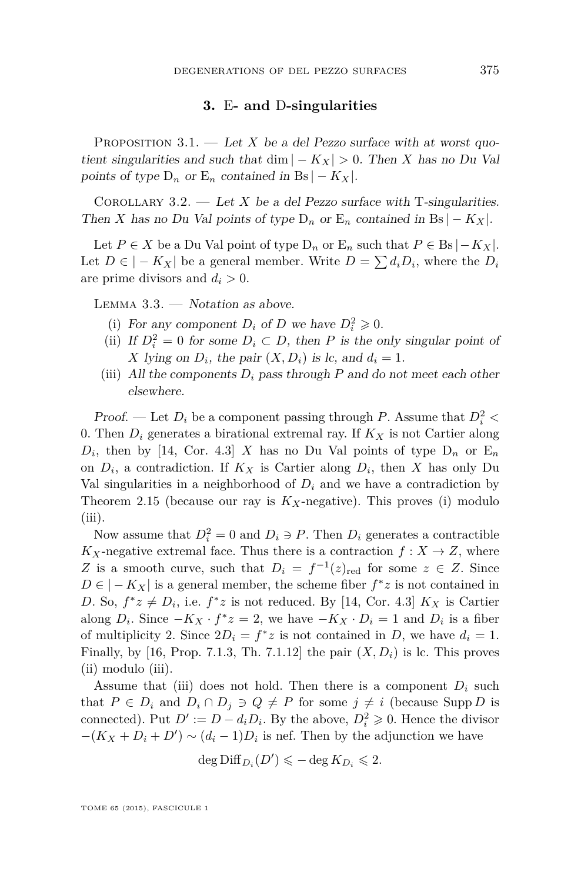#### **3.** E**- and** D**-singularities**

<span id="page-7-0"></span>PROPOSITION 3.1. — Let *X* be a del Pezzo surface with at worst quotient singularities and such that dim  $| - K_X | > 0$ . Then *X* has no Du Val points of type  $D_n$  or  $E_n$  contained in Bs  $|-K_X|$ .

COROLLARY 3.2. — Let *X* be a del Pezzo surface with T-singularities. Then *X* has no Du Val points of type  $D_n$  or  $E_n$  contained in Bs  $|-K_X|$ .

Let  $P \in X$  be a Du Val point of type  $D_n$  or  $E_n$  such that  $P \in \text{Bs} |-K_X|$ . Let  $D \in |-K_X|$  be a general member. Write  $D = \sum d_i D_i$ , where the  $D_i$ are prime divisors and  $d_i > 0$ .

Lemma 3.3. — Notation as above.

- (i) For any component  $D_i$  of  $D$  we have  $D_i^2 \geq 0$ .
- (ii) If  $D_i^2 = 0$  for some  $D_i \subset D$ , then *P* is the only singular point of *X* lying on  $D_i$ , the pair  $(X, D_i)$  is lc, and  $d_i = 1$ .
- (iii) All the components  $D_i$  pass through  $P$  and do not meet each other elsewhere.

*Proof.* — Let  $D_i$  be a component passing through *P*. Assume that  $D_i^2$  < 0. Then  $D_i$  generates a birational extremal ray. If  $K_X$  is not Cartier along  $D_i$ , then by [\[14,](#page-19-0) Cor. 4.3] *X* has no Du Val points of type  $D_n$  or  $E_n$ on  $D_i$ , a contradiction. If  $K_X$  is Cartier along  $D_i$ , then X has only Du Val singularities in a neighborhood of  $D_i$  and we have a contradiction by Theorem [2.15](#page-6-0) (because our ray is  $K_X$ -negative). This proves (i) modulo  $(iii)$ .

Now assume that  $D_i^2 = 0$  and  $D_i \ni P$ . Then  $D_i$  generates a contractible  $K_X$ -negative extremal face. Thus there is a contraction  $f: X \to Z$ , where *Z* is a smooth curve, such that  $D_i = f^{-1}(z)_{\text{red}}$  for some  $z \in Z$ . Since  $D \in |-K_X|$  is a general member, the scheme fiber  $f^*z$  is not contained in *D*. So,  $f^*z \neq D_i$ , i.e.  $f^*z$  is not reduced. By [\[14,](#page-19-0) Cor. 4.3]  $K_X$  is Cartier along  $D_i$ . Since  $-K_X \cdot f^*z = 2$ , we have  $-K_X \cdot D_i = 1$  and  $D_i$  is a fiber of multiplicity 2. Since  $2D_i = f^*z$  is not contained in *D*, we have  $d_i = 1$ . Finally, by [\[16,](#page-19-0) Prop. 7.1.3, Th. 7.1.12] the pair  $(X, D_i)$  is lc. This proves (ii) modulo (iii).

Assume that (iii) does not hold. Then there is a component  $D_i$  such that  $P \in D_i$  and  $D_i \cap D_j \ni Q \neq P$  for some  $j \neq i$  (because Supp *D* is connected). Put  $D' := D - d_i D_i$ . By the above,  $D_i^2 \geq 0$ . Hence the divisor  $-(K_X + D_i + D') \sim (d_i - 1)D_i$  is nef. Then by the adjunction we have

$$
\deg \text{Diff}_{D_i}(D') \leqslant -\deg K_{D_i} \leqslant 2.
$$

TOME 65 (2015), FASCICULE 1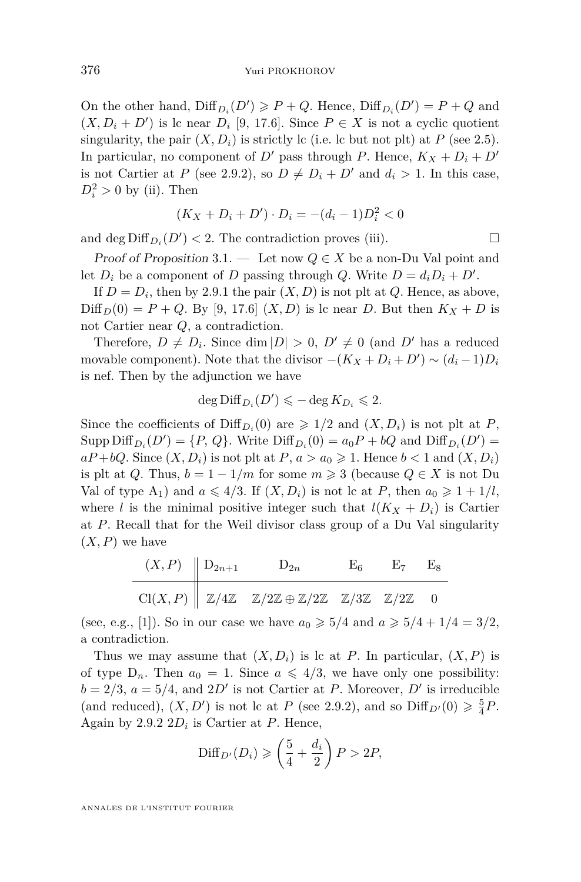On the other hand,  $\text{Diff}_{D_i}(D') \geq P + Q$ . Hence,  $\text{Diff}_{D_i}(D') = P + Q$  and  $(X, D_i + D')$  is lc near  $D_i$  [\[9,](#page-19-0) 17.6]. Since  $P \in X$  is not a cyclic quotient singularity, the pair  $(X, D_i)$  is strictly lc (i.e. lc but not plt) at *P* (see [2.5\)](#page-4-0). In particular, no component of *D'* pass through *P*. Hence,  $K_X + D_i + D'$ is not Cartier at *P* (see [2.9.2\)](#page-4-0), so  $D \neq D_i + D'$  and  $d_i > 1$ . In this case,  $D_i^2 > 0$  by (ii). Then

$$
(K_X + D_i + D') \cdot D_i = -(d_i - 1)D_i^2 < 0
$$

and deg  $\text{Diff}_{D_i}(D') < 2$ . The contradiction proves (iii).

Proof of Proposition [3.1](#page-7-0). — Let now  $Q \in X$  be a non-Du Val point and let  $D_i$  be a component of  $D$  passing through  $Q$ . Write  $D = d_i D_i + D'$ .

If  $D = D_i$ , then by [2.9.1](#page-4-0) the pair  $(X, D)$  is not plt at  $Q$ . Hence, as above,  $Diff_D(0) = P + Q$ . By [\[9,](#page-19-0) 17.6]  $(X, D)$  is lc near *D*. But then  $K_X + D$  is not Cartier near *Q*, a contradiction.

Therefore,  $D \neq D_i$ . Since dim  $|D| > 0$ ,  $D' \neq 0$  (and  $D'$  has a reduced movable component). Note that the divisor  $-(K_X + D_i + D') \sim (d_i - 1)D_i$ is nef. Then by the adjunction we have

$$
\deg \operatorname{Diff}_{D_i}(D') \leqslant -\deg K_{D_i} \leqslant 2.
$$

Since the coefficients of  $\text{Diff}_{D_i}(0)$  are  $\geq 1/2$  and  $(X, D_i)$  is not plt at *P*, Supp  $\text{Diff}_{D_i}(D') = \{P, Q\}$ . Write  $\text{Diff}_{D_i}(0) = a_0 P + bQ$  and  $\text{Diff}_{D_i}(D') =$  $aP + bQ$ . Since  $(X, D_i)$  is not plt at  $P, a > a_0 \geq 1$ . Hence  $b < 1$  and  $(X, D_i)$ is plt at *Q*. Thus,  $b = 1 - 1/m$  for some  $m \geq 3$  (because  $Q \in X$  is not Du Val of type A<sub>1</sub>) and  $a \le 4/3$ . If  $(X, D_i)$  is not lc at P, then  $a_0 \ge 1 + 1/l$ , where *l* is the minimal positive integer such that  $l(K_X + D_i)$  is Cartier at *P*. Recall that for the Weil divisor class group of a Du Val singularity  $(X, P)$  we have

$$
\begin{array}{c|cc}\n(X, P) & D_{2n+1} & D_{2n} & E_6 & E_7 & E_8 \\
\hline\n\text{Cl}(X, P) & \mathbb{Z}/4\mathbb{Z} & \mathbb{Z}/2\mathbb{Z} \oplus \mathbb{Z}/2\mathbb{Z} & \mathbb{Z}/3\mathbb{Z} & \mathbb{Z}/2\mathbb{Z} & 0\n\end{array}
$$

(see, e.g., [\[1\]](#page-19-0)). So in our case we have  $a_0 \ge 5/4$  and  $a \ge 5/4 + 1/4 = 3/2$ , a contradiction.

Thus we may assume that  $(X, D_i)$  is lc at P. In particular,  $(X, P)$  is of type  $D_n$ . Then  $a_0 = 1$ . Since  $a \leq 4/3$ , we have only one possibility:  $b = 2/3$ ,  $a = 5/4$ , and  $2D'$  is not Cartier at *P*. Moreover, *D'* is irreducible (and reduced),  $(X, D')$  is not lc at *P* (see [2.9.2\)](#page-4-0), and so  $\text{Diff}_{D'}(0) \geq \frac{5}{4}P$ . Again by [2.9.2](#page-4-0) 2*D<sup>i</sup>* is Cartier at *P*. Hence,

$$
\text{Diff}_{D'}(D_i) \geqslant \left(\frac{5}{4} + \frac{d_i}{2}\right)P > 2P,
$$

ANNALES DE L'INSTITUT FOURIER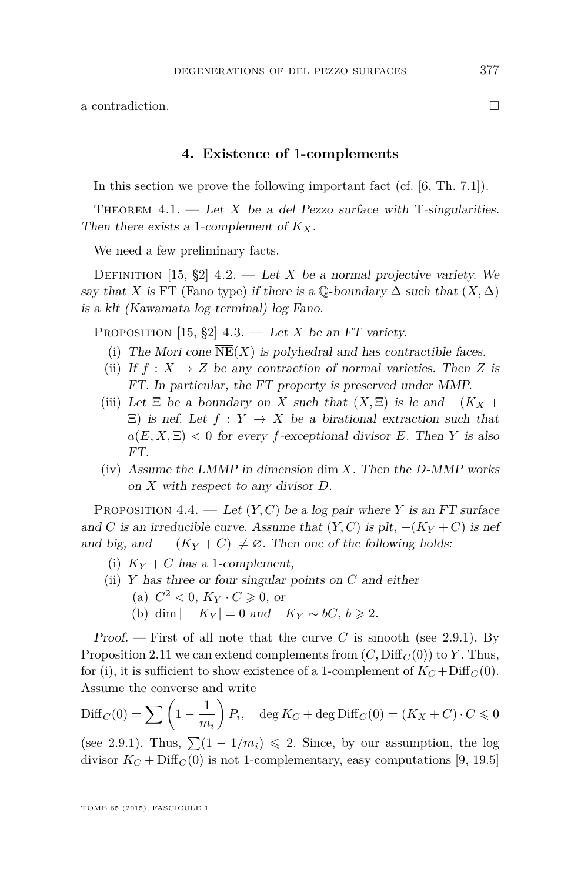<span id="page-9-0"></span>a contradiction.

#### **4. Existence of** 1**-complements**

In this section we prove the following important fact (cf. [\[6,](#page-19-0) Th. 7.1]).

THEOREM  $4.1.$  — Let *X* be a del Pezzo surface with T-singularities. Then there exists a 1-complement of *KX*.

We need a few preliminary facts.

DEFINITION  $[15, §2]$  $[15, §2]$  4.2. — Let *X* be a normal projective variety. We say that *X* is FT (Fano type) if there is a  $\mathbb{Q}$ -boundary  $\Delta$  such that  $(X, \Delta)$ is a klt (Kawamata log terminal) log Fano.

PROPOSITION [\[15,](#page-19-0) §2]  $4.3.$  — Let *X* be an FT variety.

- (i) The Mori cone  $\overline{\text{NE}}(X)$  is polyhedral and has contractible faces.
- (ii) If  $f: X \to Z$  be any contraction of normal varieties. Then *Z* is FT. In particular, the FT property is preserved under MMP.
- (iii) Let  $\Xi$  be a boundary on *X* such that  $(X,\Xi)$  is lc and  $-(K_X +$  $E$ ) is nef. Let  $f: Y \rightarrow X$  be a birational extraction such that  $a(E, X, \Xi) < 0$  for every *f*-exceptional divisor *E*. Then *Y* is also FT.
- (iv) Assume the LMMP in dimension dim *X*. Then the *D*-MMP works on *X* with respect to any divisor *D*.

PROPOSITION 4.4. — Let  $(Y, C)$  be a log pair where *Y* is an FT surface and *C* is an irreducible curve. Assume that  $(Y, C)$  is plt,  $-(K_Y + C)$  is nef and big, and  $|-(K_Y+C)| \neq \emptyset$ . Then one of the following holds:

- (i)  $K_Y + C$  has a 1-complement,
- (ii) *Y* has three or four singular points on *C* and either
	- (a)  $C^2 < 0$ ,  $K_Y \cdot C \ge 0$ , or
	- (b) dim  $|-K_Y| = 0$  and  $-K_Y \sim bC$ ,  $b \ge 2$ .

Proof. – First of all note that the curve C is smooth (see [2.9.1\)](#page-4-0). By Proposition [2.11](#page-5-0) we can extend complements from  $(C, \text{Diff}_C(0))$  to *Y*. Thus, for (i), it is sufficient to show existence of a 1-complement of  $K_C + \text{Diff}_C(0)$ . Assume the converse and write

$$
\text{Diff}_C(0) = \sum \left(1 - \frac{1}{m_i}\right) P_i, \quad \deg K_C + \deg \text{Diff}_C(0) = (K_X + C) \cdot C \le 0
$$

(see [2.9.1\)](#page-4-0). Thus,  $\sum (1 - 1/m_i) \le 2$ . Since, by our assumption, the log divisor  $K_C$  + Diff<sub>*C*</sub>(0) is not 1-complementary, easy computations [\[9,](#page-19-0) 19.5]

TOME 65 (2015), FASCICULE 1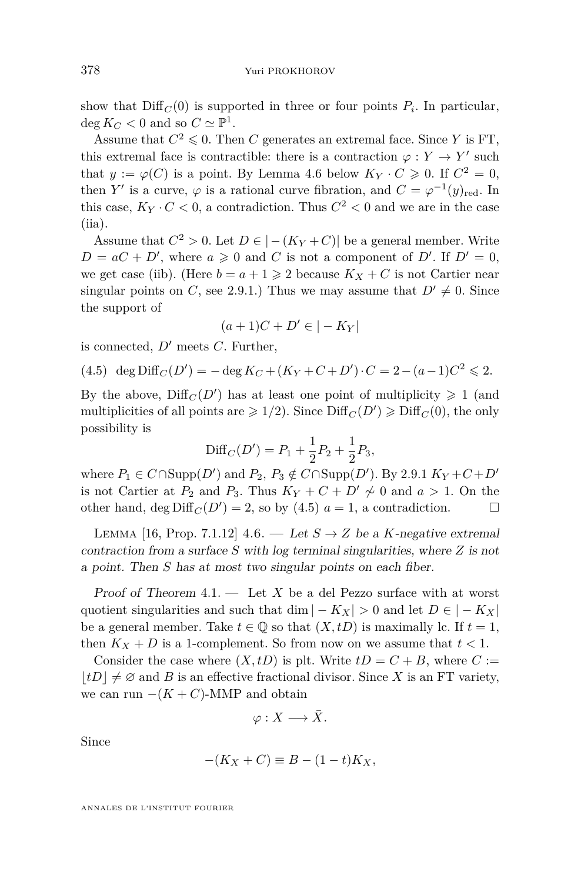show that  $\text{Diff}_C(0)$  is supported in three or four points  $P_i$ . In particular,  $\deg K_C < 0$  and so  $C \simeq \mathbb{P}^1$ .

Assume that  $C^2 \leq 0$ . Then *C* generates an extremal face. Since *Y* is FT, this extremal face is contractible: there is a contraction  $\varphi: Y \to Y'$  such that  $y := \varphi(C)$  is a point. By Lemma 4.6 below  $K_Y \cdot C \geqslant 0$ . If  $C^2 = 0$ , then *Y'* is a curve,  $\varphi$  is a rational curve fibration, and  $C = \varphi^{-1}(y)_{\text{red}}$ . In this case,  $K_Y \cdot C < 0$ , a contradiction. Thus  $C^2 < 0$  and we are in the case  $(iia).$ 

Assume that  $C^2 > 0$ . Let  $D \in |-(K_Y + C)|$  be a general member. Write  $D = aC + D'$ , where  $a \ge 0$  and *C* is not a component of *D'*. If  $D' = 0$ , we get case (iib). (Here  $b = a + 1 \geq 2$  because  $K_X + C$  is not Cartier near singular points on *C*, see [2.9.1.](#page-4-0)) Thus we may assume that  $D' \neq 0$ . Since the support of

$$
(a+1)C + D' \in |-K_Y|
$$

is connected,  $D'$  meets  $C$ . Further,

 $(4.5)$  deg  $\text{Diff}_C(D') = -\deg K_C + (K_Y + C + D') \cdot C = 2 - (a-1)C^2 \leq 2.$ 

By the above,  $\text{Diff}_C(D')$  has at least one point of multiplicity  $\geq 1$  (and multiplicities of all points are  $\geq 1/2$ ). Since  $\text{Diff}_C(D') \geq \text{Diff}_C(0)$ , the only possibility is

$$
\text{Diff}_C(D') = P_1 + \frac{1}{2}P_2 + \frac{1}{2}P_3,
$$

where  $P_1 \in C \cap \text{Supp}(D')$  and  $P_2, P_3 \notin C \cap \text{Supp}(D')$ . By [2.9.1](#page-4-0)  $K_Y + C + D'$ is not Cartier at  $P_2$  and  $P_3$ . Thus  $K_Y + C + D' \nsim 0$  and  $a > 1$ . On the other hand, deg  $\text{Diff}_C(D') = 2$ , so by (4.5)  $a = 1$ , a contradiction.

LEMMA [\[16,](#page-19-0) Prop. 7.1.12]  $4.6.$  — Let  $S \rightarrow Z$  be a *K*-negative extremal contraction from a surface *S* with log terminal singularities, where *Z* is not a point. Then *S* has at most two singular points on each fiber.

Proof of Theorem [4.1](#page-9-0). — Let *X* be a del Pezzo surface with at worst quotient singularities and such that dim  $|-K_X| > 0$  and let  $D \in |-K_X|$ be a general member. Take  $t \in \mathbb{Q}$  so that  $(X, tD)$  is maximally lc. If  $t = 1$ , then  $K_X + D$  is a 1-complement. So from now on we assume that  $t < 1$ .

Consider the case where  $(X, tD)$  is plt. Write  $tD = C + B$ , where  $C :=$  $|tD|\neq\emptyset$  and *B* is an effective fractional divisor. Since *X* is an FT variety, we can run  $-(K + C)$ -MMP and obtain

$$
\varphi:X\longrightarrow \bar{X}.
$$

Since

$$
-(K_X+C) \equiv B - (1-t)K_X,
$$

ANNALES DE L'INSTITUT FOURIER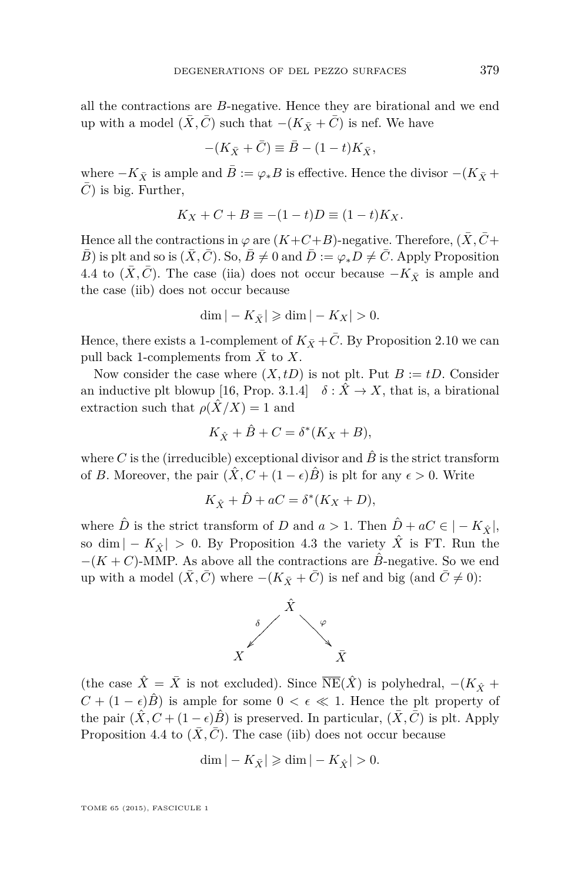all the contractions are *B*-negative. Hence they are birational and we end up with a model  $(\bar{X}, \bar{C})$  such that  $-(K_{\bar{X}} + \bar{C})$  is nef. We have

$$
-(K_{\bar{X}}+\bar{C})\equiv \bar{B}-(1-t)K_{\bar{X}},
$$

where  $-K_{\bar{X}}$  is ample and  $\bar{B}:=\varphi_*B$  is effective. Hence the divisor  $-(K_{\bar{X}}+K_{\bar{X}})$  $\overline{C}$ ) is big. Further,

$$
K_X + C + B \equiv -(1-t)D \equiv (1-t)K_X.
$$

Hence all the contractions in  $\varphi$  are  $(K+C+B)$ -negative. Therefore,  $(\bar{X}, \bar{C})$ +  $B$  is plt and so is  $(\bar{X}, \bar{C})$ . So,  $\bar{B} \neq 0$  and  $\bar{D} := \varphi_* D \neq \bar{C}$ . Apply Proposition [4.4](#page-9-0) to  $(\bar{X}, \bar{C})$ . The case (iia) does not occur because  $-K_{\bar{X}}$  is ample and the case (iib) does not occur because

$$
\dim |-K_{\bar X}| \geqslant \dim |-K_X| > 0.
$$

Hence, there exists a 1-complement of  $K_{\bar{X}} + \bar{C}$ . By Proposition [2.10](#page-5-0) we can pull back 1-complements from  $\overline{X}$  to  $X$ .

Now consider the case where  $(X, tD)$  is not plt. Put  $B := tD$ . Consider an inductive plt blowup [\[16,](#page-19-0) Prop. 3.1.4]  $\delta : \hat{X} \to X$ , that is, a birational extraction such that  $\rho(\hat{X}/X) = 1$  and

$$
K_{\hat{X}} + \hat{B} + C = \delta^*(K_X + B),
$$

where *C* is the (irreducible) exceptional divisor and  $\hat{B}$  is the strict transform of *B*. Moreover, the pair  $(\hat{X}, C + (1 - \epsilon)\hat{B})$  is plt for any  $\epsilon > 0$ . Write

$$
K_{\hat{X}} + \hat{D} + aC = \delta^*(K_X + D),
$$

where  $\hat{D}$  is the strict transform of *D* and  $a > 1$ . Then  $\hat{D} + aC \in |-K_{\hat{X}}|$ , so dim  $|-K_{\hat{X}}|>0$ . By Proposition [4.3](#page-9-0) the variety  $\hat{X}$  is FT. Run the  $-(K+C)$ -MMP. As above all the contractions are  $\hat{B}$ -negative. So we end up with a model  $(\bar{X}, \bar{C})$  where  $-(K_{\bar{X}} + \bar{C})$  is nef and big (and  $\bar{C} \neq 0$ ):



(the case  $\hat{X} = \bar{X}$  is not excluded). Since  $\overline{\text{NE}}(\hat{X})$  is polyhedral,  $-(K_{\hat{X}} +$  $C + (1 - \epsilon)\hat{B}$  is ample for some  $0 < \epsilon \ll 1$ . Hence the plt property of the pair  $(\hat{X}, C + (1 - \epsilon)\hat{B})$  is preserved. In particular,  $(\bar{X}, \bar{C})$  is plt. Apply Proposition [4.4](#page-9-0) to  $(\bar{X}, \bar{C})$ . The case (iib) does not occur because

$$
\dim |-K_{\bar X}| \geqslant \dim |-K_{\hat X}| > 0.
$$

TOME 65 (2015), FASCICULE 1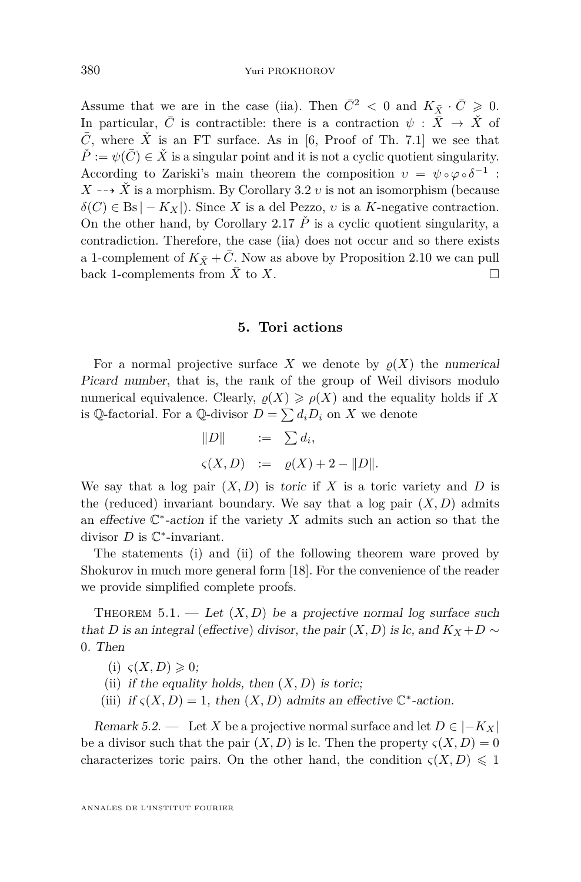<span id="page-12-0"></span>Assume that we are in the case (iia). Then  $\bar{C}^2 < 0$  and  $K_{\bar{X}} \cdot \bar{C} \geq 0$ . In particular,  $\overline{C}$  is contractible: there is a contraction  $\psi : \overline{X} \to X$  of  $\overline{C}$ , where  $\check{X}$  is an FT surface. As in [\[6,](#page-19-0) Proof of Th. 7.1] we see that  $\check{P} := \psi(\bar{C}) \in \check{X}$  is a singular point and it is not a cyclic quotient singularity. According to Zariski's main theorem the composition  $v = \psi \circ \varphi \circ \delta^{-1}$ :  $X \rightarrow \check{X}$  is a morphism. By Corollary [3.2](#page-7-0) *v* is not an isomorphism (because  $\delta(C) \in \text{Bs} \mid -K_X \mid$ ). Since *X* is a del Pezzo, *v* is a *K*-negative contraction. On the other hand, by Corollary [2.17](#page-6-0)  $\check{P}$  is a cyclic quotient singularity, a contradiction. Therefore, the case (iia) does not occur and so there exists a 1-complement of  $K_{\bar{X}} + \bar{C}$ . Now as above by Proposition [2.10](#page-5-0) we can pull back 1-complements from  $\overline{X}$  to *X*.

#### **5. Tori actions**

For a normal projective surface X we denote by  $\rho(X)$  the numerical Picard number, that is, the rank of the group of Weil divisors modulo numerical equivalence. Clearly,  $\rho(X) \geqslant \rho(X)$  and the equality holds if X is Q-factorial. For a Q-divisor  $D = \sum d_i D_i$  on *X* we denote

$$
\begin{aligned}\n\|D\| & \quad := \quad \sum d_i, \\
\varsigma(X, D) & \quad := \quad \varrho(X) + 2 - \|D\|.\n\end{aligned}
$$

We say that a log pair  $(X, D)$  is toric if X is a toric variety and D is the (reduced) invariant boundary. We say that a log pair  $(X, D)$  admits an effective  $\mathbb{C}^*$ -action if the variety  $X$  admits such an action so that the divisor  $D$  is  $\mathbb{C}^*$ -invariant.

The statements (i) and (ii) of the following theorem ware proved by Shokurov in much more general form [\[18\]](#page-20-0). For the convenience of the reader we provide simplified complete proofs.

THEOREM 5.1. — Let  $(X, D)$  be a projective normal log surface such that *D* is an integral (effective) divisor, the pair  $(X, D)$  is lc, and  $K_X + D \sim$ 0. Then

- $(i)$   $\varsigma(X,D) \geqslant 0;$
- (ii) if the equality holds, then  $(X, D)$  is toric;
- (iii) if  $\varsigma(X,D) = 1$ , then  $(X,D)$  admits an effective  $\mathbb{C}^*$ -action.

Remark 5.2. — Let *X* be a projective normal surface and let  $D \in |-K_X|$ be a divisor such that the pair  $(X, D)$  is lc. Then the property  $\varsigma(X, D) = 0$ characterizes toric pairs. On the other hand, the condition  $\varsigma(X, D) \leq 1$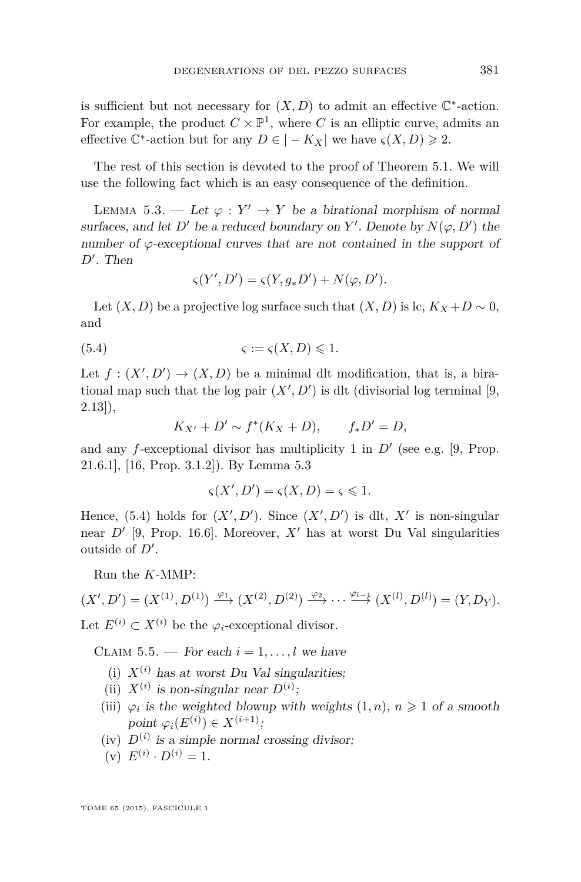<span id="page-13-0"></span>is sufficient but not necessary for  $(X, D)$  to admit an effective  $\mathbb{C}^*$ -action. For example, the product  $C \times \mathbb{P}^1$ , where *C* is an elliptic curve, admits an effective  $\mathbb{C}^*$ -action but for any  $D \in |-K_X|$  we have  $\varsigma(X, D) \geq 2$ .

The rest of this section is devoted to the proof of Theorem [5.1.](#page-12-0) We will use the following fact which is an easy consequence of the definition.

LEMMA 5.3. — Let  $\varphi: Y' \to Y$  be a birational morphism of normal surfaces, and let *D'* be a reduced boundary on *Y'*. Denote by  $N(\varphi, D')$  the number of *ϕ*-exceptional curves that are not contained in the support of  $D'$ . Then

$$
\varsigma(Y', D') = \varsigma(Y, g_* D') + N(\varphi, D').
$$

Let  $(X, D)$  be a projective log surface such that  $(X, D)$  is lc,  $K_X + D \sim 0$ , and

(5.4) *ς* := *ς*(*X, D*) 6 1*.*

Let  $f: (X', D') \to (X, D)$  be a minimal dlt modification, that is, a birational map such that the log pair  $(X', D')$  is dlt (divisorial log terminal [\[9,](#page-19-0) 2.13]),

$$
K_{X'} + D' \sim f^*(K_X + D), \qquad f_* D' = D,
$$

and any  $f$ -exceptional divisor has multiplicity 1 in  $D'$  (see e.g. [\[9,](#page-19-0) Prop. 21.6.1], [\[16,](#page-19-0) Prop. 3.1.2]). By Lemma 5.3

$$
\varsigma(X', D') = \varsigma(X, D) = \varsigma \leqslant 1.
$$

Hence, (5.4) holds for  $(X', D')$ . Since  $(X', D')$  is dlt, X' is non-singular near *D'* [\[9,](#page-19-0) Prop. 16.6]. Moreover, *X'* has at worst Du Val singularities outside of  $D'$ .

Run the *K*-MMP:

$$
(X', D') = (X^{(1)}, D^{(1)}) \xrightarrow{\varphi_1} (X^{(2)}, D^{(2)}) \xrightarrow{\varphi_2} \cdots \xrightarrow{\varphi_{l-1}} (X^{(l)}, D^{(l)}) = (Y, D_Y).
$$

Let  $E^{(i)} \subset X^{(i)}$  be the  $\varphi_i$ -exceptional divisor.

CLAIM 5.5. — For each  $i = 1, \ldots, l$  we have

- (i)  $X^{(i)}$  has at worst Du Val singularities;
- (ii)  $X^{(i)}$  is non-singular near  $D^{(i)}$ ;
- (iii)  $\varphi_i$  is the weighted blowup with weights  $(1, n)$ ,  $n \geq 1$  of a smooth point  $\varphi_i(E^{(i)}) \in X^{(i+1)}$ ;
- $(iv)$   $D^{(i)}$  is a simple normal crossing divisor;
- (v)  $E^{(i)} \cdot D^{(i)} = 1$ .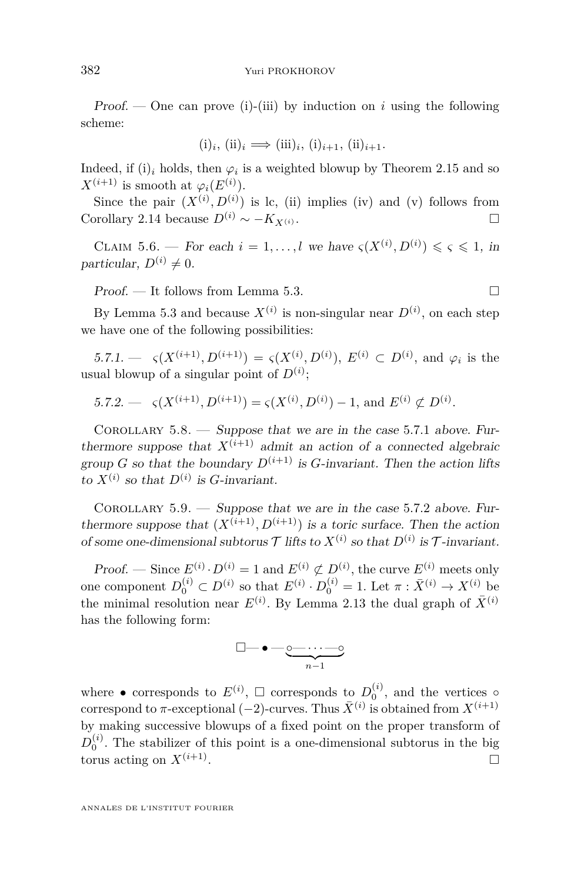<span id="page-14-0"></span>Proof. — One can prove (i)-(iii) by induction on *i* using the following scheme:

(i)<sub>i</sub>, (ii)<sub>i</sub> 
$$
\Longrightarrow
$$
 (iii)<sub>i</sub>, (i)<sub>i+1</sub>, (ii)<sub>i+1</sub>.

Indeed, if  $(i)_i$  holds, then  $\varphi_i$  is a weighted blowup by Theorem [2.15](#page-6-0) and so  $X^{(i+1)}$  is smooth at  $\varphi_i(E^{(i)})$ .

Since the pair  $(X^{(i)}, D^{(i)})$  is lc, (ii) implies (iv) and (v) follows from Corollary [2.14](#page-6-0) because  $D^{(i)} \sim -K_{X^{(i)}}$ . □

CLAIM 5.6. — For each  $i = 1, ..., l$  we have  $\varsigma(X^{(i)}, D^{(i)}) \leq \varsigma \leq 1$ , in particular,  $D^{(i)} \neq 0$ .

 $Proof.$  It follows from Lemma [5.3.](#page-13-0)

By Lemma [5.3](#page-13-0) and because  $X^{(i)}$  is non-singular near  $D^{(i)}$ , on each step we have one of the following possibilities:

5.7.1. — *ς*( $X^{(i+1)}, D^{(i+1)}$ ) = *ς*( $X^{(i)}, D^{(i)}$ ),  $E^{(i)} \subset D^{(i)}$ , and  $\varphi_i$  is the usual blowup of a singular point of  $D^{(i)}$ ;

5.7.2. 
$$
\qquad \varsigma(X^{(i+1)}, D^{(i+1)}) = \varsigma(X^{(i)}, D^{(i)}) - 1
$$
, and  $E^{(i)} \not\subset D^{(i)}$ .

COROLLARY  $5.8.$  — Suppose that we are in the case 5.7.1 above. Furthermore suppose that  $X^{(i+1)}$  admit an action of a connected algebraic group *G* so that the boundary  $D^{(i+1)}$  is *G*-invariant. Then the action lifts to  $X^{(i)}$  so that  $D^{(i)}$  is *G*-invariant.

COROLLARY  $5.9.$  — Suppose that we are in the case 5.7.2 above. Furthermore suppose that  $(X^{(i+1)}, D^{(i+1)})$  is a toric surface. Then the action of some one-dimensional subtorus  $\mathcal T$  lifts to  $X^{(i)}$  so that  $D^{(i)}$  is  $\mathcal T$ -invariant.

Proof. — Since  $E^{(i)} \cdot D^{(i)} = 1$  and  $E^{(i)} \not\subset D^{(i)}$ , the curve  $E^{(i)}$  meets only one component  $D_0^{(i)} \subset D^{(i)}$  so that  $E^{(i)} \cdot D_0^{(i)} = 1$ . Let  $\pi : \bar{X}^{(i)} \to X^{(i)}$  be the minimal resolution near  $E^{(i)}$ . By Lemma [2.13](#page-6-0) the dual graph of  $\bar{X}^{(i)}$ has the following form:

$$
\square \hspace{-2pt}-\bullet\hspace{-2pt}-\hspace{-2pt}\underbrace{\circ\hspace{-2pt}-\cdots\hspace{-2pt}-\hspace{-2pt}\circ}_{n-1}
$$

where • corresponds to  $E^{(i)}$ ,  $\Box$  corresponds to  $D_0^{(i)}$ , and the vertices  $\circ$ correspond to  $\pi$ -exceptional (−2)-curves. Thus  $\bar{X}^{(i)}$  is obtained from  $X^{(i+1)}$ by making successive blowups of a fixed point on the proper transform of  $D_0^{(i)}$ . The stabilizer of this point is a one-dimensional subtorus in the big torus acting on  $X^{(i+1)}$ . .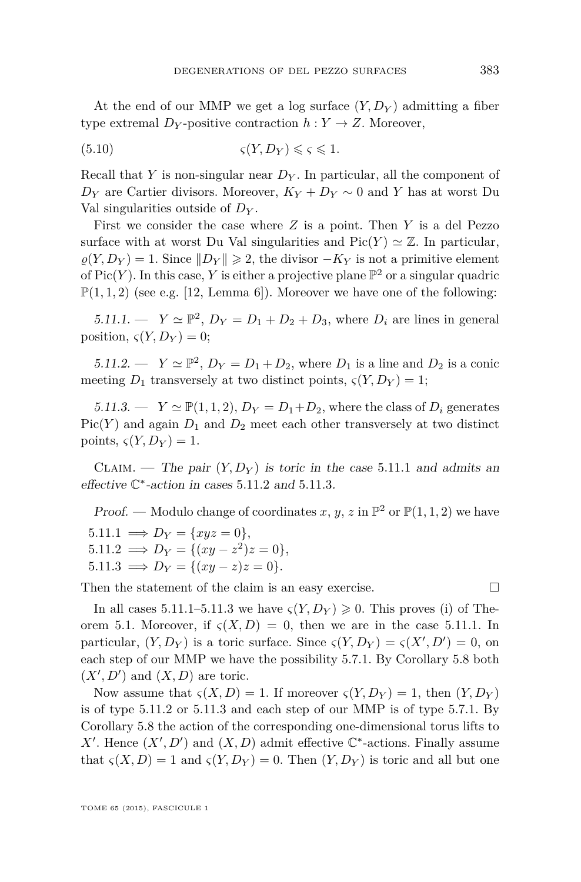<span id="page-15-0"></span>At the end of our MMP we get a log surface  $(Y, D_Y)$  admitting a fiber type extremal  $D_Y$ -positive contraction  $h: Y \to Z$ . Moreover,

(5.10) *ς*(*Y, D<sup>Y</sup>* ) 6 *ς* 6 1*.*

Recall that *Y* is non-singular near *D<sup>Y</sup>* . In particular, all the component of  $D_Y$  are Cartier divisors. Moreover,  $K_Y + D_Y \sim 0$  and *Y* has at worst Du Val singularities outside of *D<sup>Y</sup>* .

First we consider the case where *Z* is a point. Then *Y* is a del Pezzo surface with at worst Du Val singularities and  $Pic(Y) \simeq \mathbb{Z}$ . In particular,  $\varrho(Y, D_Y) = 1$ . Since  $||D_Y|| \geq 2$ , the divisor  $-K_Y$  is not a primitive element of  $Pic(Y)$ . In this case, Y is either a projective plane  $\mathbb{P}^2$  or a singular quadric  $\mathbb{P}(1,1,2)$  (see e.g. [\[12,](#page-19-0) Lemma 6]). Moreover we have one of the following:

5.11.1.  $\cdots$   $Y \simeq \mathbb{P}^2$ ,  $D_Y = D_1 + D_2 + D_3$ , where  $D_i$  are lines in general position,  $\varsigma(Y, D_Y) = 0$ ;

5.11.2.  $\blacksquare$   $Y \simeq \mathbb{P}^2$ ,  $D_Y = D_1 + D_2$ , where  $D_1$  is a line and  $D_2$  is a conic meeting  $D_1$  transversely at two distinct points,  $\varsigma(Y, D_Y) = 1$ ;

5.11.3.  $\qquad Y \simeq \mathbb{P}(1, 1, 2), D_Y = D_1 + D_2$ , where the class of  $D_i$  generates Pic $(Y)$  and again  $D_1$  and  $D_2$  meet each other transversely at two distinct points,  $\varsigma(Y, D_Y) = 1$ .

CLAIM. — The pair  $(Y, D_Y)$  is toric in the case 5.11.1 and admits an effective C ∗ -action in cases 5.11.2 and 5.11.3.

Proof. — Modulo change of coordinates x, y, z in  $\mathbb{P}^2$  or  $\mathbb{P}(1,1,2)$  we have  $5.11.1 \implies D_Y = \{xyz = 0\},\$  $5.11.2 \implies D_Y = \{(xy - z^2)z = 0\},\$  $5.11.3 \implies D_Y = \{(xy - z)z = 0\}.$ 

Then the statement of the claim is an easy exercise.

In all cases 5.11.1–5.11.3 we have  $\varsigma(Y, D_Y) \geq 0$ . This proves (i) of The-orem [5.1.](#page-12-0) Moreover, if  $\varsigma(X, D) = 0$ , then we are in the case 5.11.1. In particular,  $(Y, D_Y)$  is a toric surface. Since  $\varsigma(Y, D_Y) = \varsigma(X', D') = 0$ , on each step of our MMP we have the possibility [5.7.1.](#page-14-0) By Corollary [5.8](#page-14-0) both  $(X', D')$  and  $(X, D)$  are toric.

Now assume that  $\varsigma(X, D) = 1$ . If moreover  $\varsigma(Y, D_Y) = 1$ , then  $(Y, D_Y)$ is of type 5.11.2 or 5.11.3 and each step of our MMP is of type [5.7.1.](#page-14-0) By Corollary [5.8](#page-14-0) the action of the corresponding one-dimensional torus lifts to X'. Hence  $(X', D')$  and  $(X, D)$  admit effective  $\mathbb{C}^*$ -actions. Finally assume that  $\varsigma(X, D) = 1$  and  $\varsigma(Y, D_Y) = 0$ . Then  $(Y, D_Y)$  is toric and all but one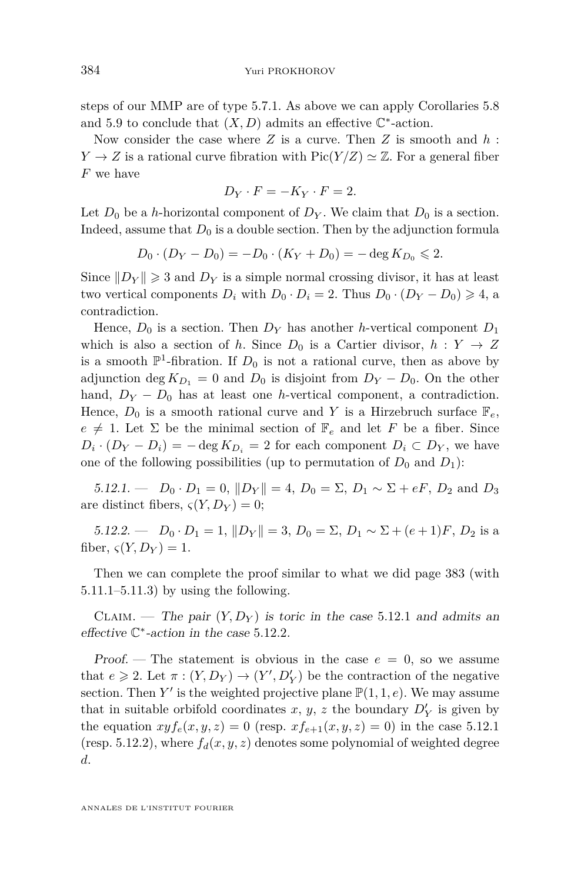<span id="page-16-0"></span>steps of our MMP are of type [5.7.1.](#page-14-0) As above we can apply Corollaries [5.8](#page-14-0) and [5.9](#page-14-0) to conclude that  $(X, D)$  admits an effective  $\mathbb{C}^*$ -action.

Now consider the case where *Z* is a curve. Then *Z* is smooth and *h* :  $Y \to Z$  is a rational curve fibration with  $Pic(Y/Z) \simeq \mathbb{Z}$ . For a general fiber *F* we have

$$
D_Y \cdot F = -K_Y \cdot F = 2.
$$

Let  $D_0$  be a *h*-horizontal component of  $D_Y$ . We claim that  $D_0$  is a section. Indeed, assume that  $D_0$  is a double section. Then by the adjunction formula

$$
D_0 \cdot (D_Y - D_0) = -D_0 \cdot (K_Y + D_0) = -\deg K_{D_0} \leq 2.
$$

Since  $||D_Y|| \ge 3$  and  $D_Y$  is a simple normal crossing divisor, it has at least two vertical components  $D_i$  with  $D_0 \cdot D_i = 2$ . Thus  $D_0 \cdot (D_Y - D_0) \geq 4$ , a contradiction.

Hence,  $D_0$  is a section. Then  $D<sub>Y</sub>$  has another *h*-vertical component  $D_1$ which is also a section of h. Since  $D_0$  is a Cartier divisor,  $h: Y \to Z$ is a smooth  $\mathbb{P}^1$ -fibration. If  $D_0$  is not a rational curve, then as above by adjunction deg  $K_{D_1} = 0$  and  $D_0$  is disjoint from  $D_Y - D_0$ . On the other hand,  $D_Y - D_0$  has at least one *h*-vertical component, a contradiction. Hence,  $D_0$  is a smooth rational curve and *Y* is a Hirzebruch surface  $\mathbb{F}_e$ ,  $e \neq 1$ . Let  $\Sigma$  be the minimal section of  $\mathbb{F}_e$  and let *F* be a fiber. Since  $D_i \cdot (D_Y - D_i) = -\deg K_{D_i} = 2$  for each component  $D_i \subset D_Y$ , we have one of the following possibilities (up to permutation of  $D_0$  and  $D_1$ ):

5.12.1. —  $D_0 \cdot D_1 = 0$ ,  $||D_Y|| = 4$ ,  $D_0 = \Sigma$ ,  $D_1 \sim \Sigma + eF$ ,  $D_2$  and  $D_3$ are distinct fibers,  $\varsigma(Y, D_Y) = 0$ ;

5.12.2. —  $D_0 \cdot D_1 = 1$ ,  $||D_Y|| = 3$ ,  $D_0 = \Sigma$ ,  $D_1 \sim \Sigma + (e+1)F$ ,  $D_2$  is a fiber,  $\varsigma(Y, D_Y) = 1$ .

Then we can complete the proof similar to what we did page [383](#page-15-0) (with [5.11.1–5.11.3\)](#page-15-0) by using the following.

CLAIM. — The pair  $(Y, D_Y)$  is toric in the case 5.12.1 and admits an effective C ∗ -action in the case 5.12.2.

Proof. — The statement is obvious in the case  $e = 0$ , so we assume that  $e \ge 2$ . Let  $\pi : (Y, D_Y) \to (Y', D'_Y)$  be the contraction of the negative section. Then  $Y'$  is the weighted projective plane  $\mathbb{P}(1,1,e)$ . We may assume that in suitable orbifold coordinates  $x, y, z$  the boundary  $D'_Y$  is given by the equation  $xyf_e(x, y, z) = 0$  (resp.  $xf_{e+1}(x, y, z) = 0$ ) in the case 5.12.1 (resp. 5.12.2), where  $f_d(x, y, z)$  denotes some polynomial of weighted degree *d*.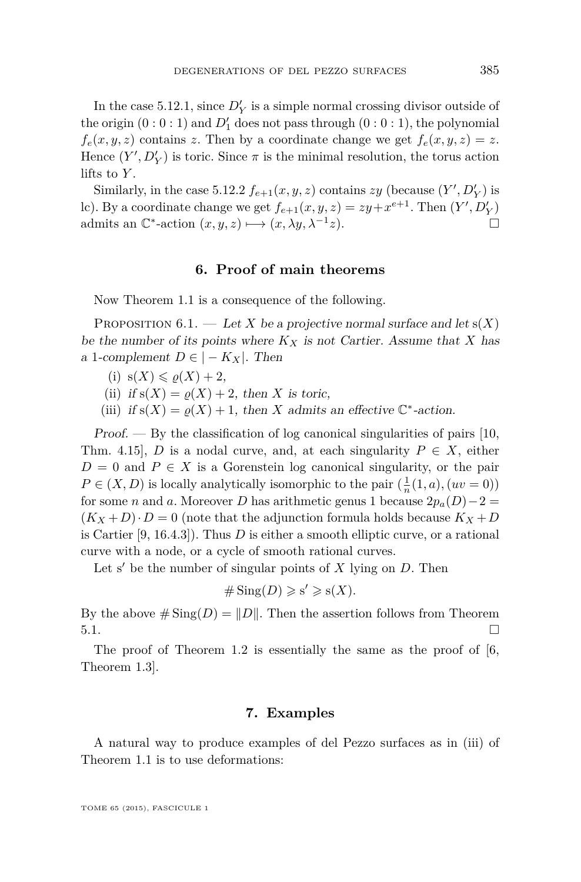In the case [5.12.1,](#page-16-0) since  $D'_Y$  is a simple normal crossing divisor outside of the origin  $(0:0:1)$  and  $D'_1$  does not pass through  $(0:0:1)$ , the polynomial  $f_e(x, y, z)$  contains *z*. Then by a coordinate change we get  $f_e(x, y, z) = z$ . Hence  $(Y', D'_Y)$  is toric. Since  $\pi$  is the minimal resolution, the torus action lifts to *Y* .

Similarly, in the case [5.12.2](#page-16-0)  $f_{e+1}(x, y, z)$  contains  $zy$  (because  $(Y', D'_Y)$ ) is lc). By a coordinate change we get  $f_{e+1}(x, y, z) = zy + x^{e+1}$ . Then  $(Y', D'_Y)$ admits an  $\mathbb{C}^*$ -action  $(x, y, z) \longmapsto (x, \lambda y, \lambda^{-1})$ *z*). □

#### **6. Proof of main theorems**

Now Theorem [1.1](#page-2-0) is a consequence of the following.

PROPOSITION  $6.1.$  — Let *X* be a projective normal surface and let  $s(X)$ be the number of its points where  $K_X$  is not Cartier. Assume that *X* has a 1-complement  $D \in |-K_X|$ . Then

- (i)  $s(X) \leq \rho(X) + 2$ ,
- (ii) if  $s(X) = \rho(X) + 2$ , then *X* is toric,
- (iii) if  $s(X) = \varrho(X) + 1$ , then *X* admits an effective  $\mathbb{C}^*$ -action.

 $Proof.$  — By the classification of log canonical singularities of pairs [\[10,](#page-19-0) Thm. 4.15], *D* is a nodal curve, and, at each singularity  $P \in X$ , either  $D = 0$  and  $P \in X$  is a Gorenstein log canonical singularity, or the pair  $P \in (X, D)$  is locally analytically isomorphic to the pair  $(\frac{1}{n}(1, a), (uv = 0))$ for some *n* and *a*. Moreover *D* has arithmetic genus 1 because  $2p_a(D)-2=$  $(K_X + D) \cdot D = 0$  (note that the adjunction formula holds because  $K_X + D$ is Cartier [\[9,](#page-19-0) 16.4.3]). Thus *D* is either a smooth elliptic curve, or a rational curve with a node, or a cycle of smooth rational curves.

Let s' be the number of singular points of  $X$  lying on  $D$ . Then

$$
\#\operatorname{Sing}(D) \geqslant s' \geqslant s(X).
$$

By the above  $\# \text{Sing}(D) = ||D||$ . Then the assertion follows from Theorem  $5.1.$ 

The proof of Theorem [1.2](#page-2-0) is essentially the same as the proof of  $[6, 6]$  $[6, 6]$ Theorem 1.3].

#### **7. Examples**

A natural way to produce examples of del Pezzo surfaces as in (iii) of Theorem [1.1](#page-2-0) is to use deformations: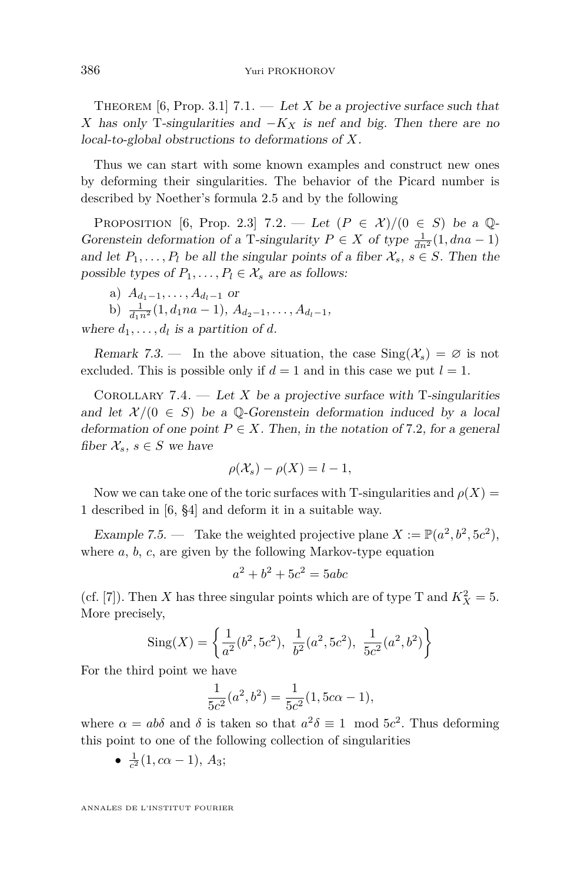THEOREM [\[6,](#page-19-0) Prop. 3.1]  $7.1.$  — Let *X* be a projective surface such that *X* has only T-singularities and  $-K_X$  is nef and big. Then there are no local-to-global obstructions to deformations of *X*.

Thus we can start with some known examples and construct new ones by deforming their singularities. The behavior of the Picard number is described by Noether's formula [2.5](#page-3-0) and by the following

PROPOSITION [\[6,](#page-19-0) Prop. 2.3] 7.2. — Let  $(P \in \mathcal{X})/(0 \in S)$  be a Q-Gorenstein deformation of a T-singularity  $P \in X$  of type  $\frac{1}{dn^2}(1, dna - 1)$ and let  $P_1, \ldots, P_l$  be all the singular points of a fiber  $\mathcal{X}_s, s \in S$ . Then the possible types of  $P_1, \ldots, P_l \in \mathcal{X}_s$  are as follows:

a) 
$$
A_{d_1-1}, \ldots, A_{d_l-1}
$$
 or

b)  $\frac{1}{d_1 n^2} (1, d_1 n a - 1), A_{d_2-1}, \ldots, A_{d_l-1},$ 

where  $d_1, \ldots, d_l$  is a partition of *d*.

Remark 7.3. — In the above situation, the case  $\text{Sing}(\mathcal{X}_s) = \emptyset$  is not excluded. This is possible only if  $d = 1$  and in this case we put  $l = 1$ .

COROLLARY 7.4. — Let *X* be a projective surface with T-singularities and let  $\mathcal{X}/(0 \in S)$  be a Q-Gorenstein deformation induced by a local deformation of one point  $P \in X$ . Then, in the notation of 7.2, for a general fiber  $\mathcal{X}_s$ ,  $s \in S$  we have

$$
\rho(\mathcal{X}_s) - \rho(X) = l - 1,
$$

Now we can take one of the toric surfaces with T-singularities and  $\rho(X)$  = 1 described in [\[6,](#page-19-0) §4] and deform it in a suitable way.

Example 7.5. — Take the weighted projective plane  $X := \mathbb{P}(a^2, b^2, 5c^2)$ , where *a*, *b*, *c*, are given by the following Markov-type equation

$$
a^2 + b^2 + 5c^2 = 5abc
$$

(cf. [\[7\]](#page-19-0)). Then *X* has three singular points which are of type T and  $K_X^2 = 5$ . More precisely,

Sing(X) = 
$$
\left\{ \frac{1}{a^2} (b^2, 5c^2), \frac{1}{b^2} (a^2, 5c^2), \frac{1}{5c^2} (a^2, b^2) \right\}
$$

For the third point we have

$$
\frac{1}{5c^2}(a^2, b^2) = \frac{1}{5c^2}(1, 5c\alpha - 1),
$$

where  $\alpha = ab\delta$  and  $\delta$  is taken so that  $a^2\delta \equiv 1 \mod 5c^2$ . Thus deforming this point to one of the following collection of singularities

•  $\frac{1}{c^2}(1, c\alpha - 1), A_3;$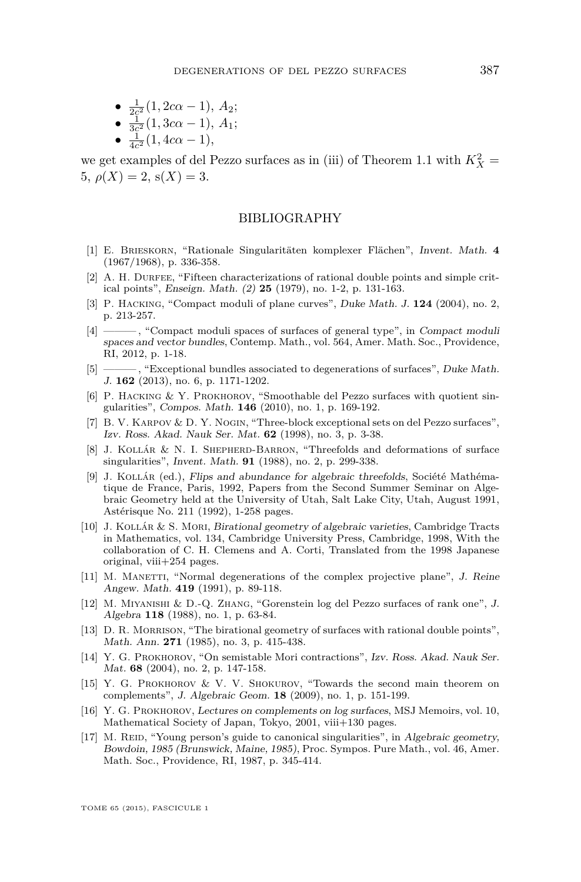<span id="page-19-0"></span>• 
$$
\frac{1}{2c^2}(1, 2c\alpha - 1), A_2;
$$

- $\bullet$   $\frac{1}{3c^2}(1, 3c\alpha 1), A_1;$
- $\frac{1}{4c^2}(1, 4c\alpha 1),$

we get examples of del Pezzo surfaces as in (iii) of Theorem [1.1](#page-2-0) with  $K_X^2 =$ 5,  $\rho(X) = 2$ ,  $s(X) = 3$ .

#### BIBLIOGRAPHY

- [1] E. Brieskorn, "Rationale Singularitäten komplexer Flächen", Invent. Math. **4** (1967/1968), p. 336-358.
- [2] A. H. DURFEE, "Fifteen characterizations of rational double points and simple critical points", Enseign. Math. (2) **25** (1979), no. 1-2, p. 131-163.
- [3] P. Hacking, "Compact moduli of plane curves", Duke Math. J. **124** (2004), no. 2, p. 213-257.
- [4] ——— , "Compact moduli spaces of surfaces of general type", in Compact moduli spaces and vector bundles, Contemp. Math., vol. 564, Amer. Math. Soc., Providence, RI, 2012, p. 1-18.
- [5] ——— , "Exceptional bundles associated to degenerations of surfaces", Duke Math. J. **162** (2013), no. 6, p. 1171-1202.
- [6] P. HACKING & Y. PROKHOROV, "Smoothable del Pezzo surfaces with quotient singularities", Compos. Math. **146** (2010), no. 1, p. 169-192.
- [7] B. V. Karpov & D. Y. Nogin, "Three-block exceptional sets on del Pezzo surfaces", Izv. Ross. Akad. Nauk Ser. Mat. **62** (1998), no. 3, p. 3-38.
- [8] J. KOLLÁR & N. I. SHEPHERD-BARRON, "Threefolds and deformations of surface singularities", Invent. Math. **91** (1988), no. 2, p. 299-338.
- [9] J. Kollár (ed.), Flips and abundance for algebraic threefolds, Société Mathématique de France, Paris, 1992, Papers from the Second Summer Seminar on Algebraic Geometry held at the University of Utah, Salt Lake City, Utah, August 1991, Astérisque No. 211 (1992), 1-258 pages.
- [10] J. Kollár & S. Mori, Birational geometry of algebraic varieties, Cambridge Tracts in Mathematics, vol. 134, Cambridge University Press, Cambridge, 1998, With the collaboration of C. H. Clemens and A. Corti, Translated from the 1998 Japanese original, viii+254 pages.
- [11] M. MANETTI, "Normal degenerations of the complex projective plane", J. Reine Angew. Math. **419** (1991), p. 89-118.
- [12] M. Miyanishi & D.-Q. Zhang, "Gorenstein log del Pezzo surfaces of rank one", J. Algebra **118** (1988), no. 1, p. 63-84.
- [13] D. R. MORRISON, "The birational geometry of surfaces with rational double points", Math. Ann. **271** (1985), no. 3, p. 415-438.
- [14] Y. G. Prokhorov, "On semistable Mori contractions", Izv. Ross. Akad. Nauk Ser. Mat. **68** (2004), no. 2, p. 147-158.
- [15] Y. G. Prokhorov & V. V. Shokurov, "Towards the second main theorem on complements", J. Algebraic Geom. **18** (2009), no. 1, p. 151-199.
- [16] Y. G. Prokhorov, Lectures on complements on log surfaces, MSJ Memoirs, vol. 10, Mathematical Society of Japan, Tokyo, 2001, viii+130 pages.
- [17] M. REID, "Young person's guide to canonical singularities", in Algebraic geometry, Bowdoin, 1985 (Brunswick, Maine, 1985), Proc. Sympos. Pure Math., vol. 46, Amer. Math. Soc., Providence, RI, 1987, p. 345-414.